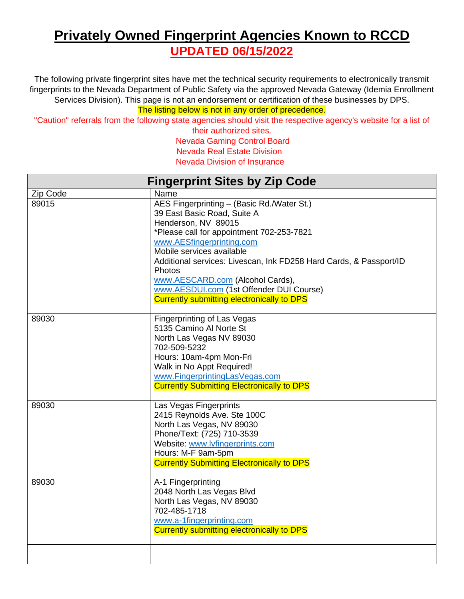## **Privately Owned Fingerprint Agencies Known to RCCD UPDATED 06/15/2022**

The following private fingerprint sites have met the technical security requirements to electronically transmit fingerprints to the Nevada Department of Public Safety via the approved Nevada Gateway (Idemia Enrollment Services Division). This page is not an endorsement or certification of these businesses by DPS.

The listing below is not in any order of precedence.

"Caution" referrals from the following state agencies should visit the respective agency's website for a list of

their authorized sites. Nevada Gaming Control Board Nevada Real Estate Division Nevada Division of Insurance

| <b>Fingerprint Sites by Zip Code</b> |                                                                                                                                                                                                                                                                                                                                                                                                                              |
|--------------------------------------|------------------------------------------------------------------------------------------------------------------------------------------------------------------------------------------------------------------------------------------------------------------------------------------------------------------------------------------------------------------------------------------------------------------------------|
| Zip Code                             | Name                                                                                                                                                                                                                                                                                                                                                                                                                         |
| 89015                                | AES Fingerprinting - (Basic Rd./Water St.)<br>39 East Basic Road, Suite A<br>Henderson, NV 89015<br>*Please call for appointment 702-253-7821<br>www.AESfingerprinting.com<br>Mobile services available<br>Additional services: Livescan, Ink FD258 Hard Cards, & Passport/ID<br><b>Photos</b><br>www.AESCARD.com (Alcohol Cards),<br>www.AESDUI.com (1st Offender DUI Course)<br>Currently submitting electronically to DPS |
| 89030                                | Fingerprinting of Las Vegas<br>5135 Camino Al Norte St<br>North Las Vegas NV 89030<br>702-509-5232<br>Hours: 10am-4pm Mon-Fri<br>Walk in No Appt Required!<br>www.FingerprintingLasVegas.com<br><b>Currently Submitting Electronically to DPS</b>                                                                                                                                                                            |
| 89030                                | Las Vegas Fingerprints<br>2415 Reynolds Ave. Ste 100C<br>North Las Vegas, NV 89030<br>Phone/Text: (725) 710-3539<br>Website: www.lvfingerprints.com<br>Hours: M-F 9am-5pm<br><b>Currently Submitting Electronically to DPS</b>                                                                                                                                                                                               |
| 89030                                | A-1 Fingerprinting<br>2048 North Las Vegas Blvd<br>North Las Vegas, NV 89030<br>702-485-1718<br>www.a-1fingerprinting.com<br>Currently submitting electronically to DPS                                                                                                                                                                                                                                                      |
|                                      |                                                                                                                                                                                                                                                                                                                                                                                                                              |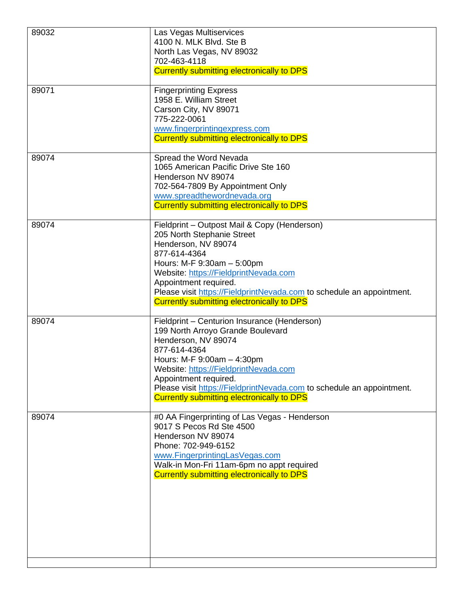| 89032 | Las Vegas Multiservices<br>4100 N. MLK Blvd. Ste B<br>North Las Vegas, NV 89032<br>702-463-4118<br><b>Currently submitting electronically to DPS</b>                                                                                                                                                                                                   |
|-------|--------------------------------------------------------------------------------------------------------------------------------------------------------------------------------------------------------------------------------------------------------------------------------------------------------------------------------------------------------|
| 89071 | <b>Fingerprinting Express</b><br>1958 E. William Street<br>Carson City, NV 89071<br>775-222-0061<br>www.fingerprintingexpress.com<br><b>Currently submitting electronically to DPS</b>                                                                                                                                                                 |
| 89074 | Spread the Word Nevada<br>1065 American Pacific Drive Ste 160<br>Henderson NV 89074<br>702-564-7809 By Appointment Only<br>www.spreadthewordnevada.org<br><b>Currently submitting electronically to DPS</b>                                                                                                                                            |
| 89074 | Fieldprint - Outpost Mail & Copy (Henderson)<br>205 North Stephanie Street<br>Henderson, NV 89074<br>877-614-4364<br>Hours: M-F 9:30am - 5:00pm<br>Website: https://FieldprintNevada.com<br>Appointment required.<br>Please visit https://FieldprintNevada.com to schedule an appointment.<br><b>Currently submitting electronically to DPS</b>        |
| 89074 | Fieldprint - Centurion Insurance (Henderson)<br>199 North Arroyo Grande Boulevard<br>Henderson, NV 89074<br>877-614-4364<br>Hours: M-F 9:00am - 4:30pm<br>Website: https://FieldprintNevada.com<br>Appointment required.<br>Please visit https://FieldprintNevada.com to schedule an appointment.<br><b>Currently submitting electronically to DPS</b> |
| 89074 | #0 AA Fingerprinting of Las Vegas - Henderson<br>9017 S Pecos Rd Ste 4500<br>Henderson NV 89074<br>Phone: 702-949-6152<br>www.FingerprintingLasVegas.com<br>Walk-in Mon-Fri 11am-6pm no appt required<br><b>Currently submitting electronically to DPS</b>                                                                                             |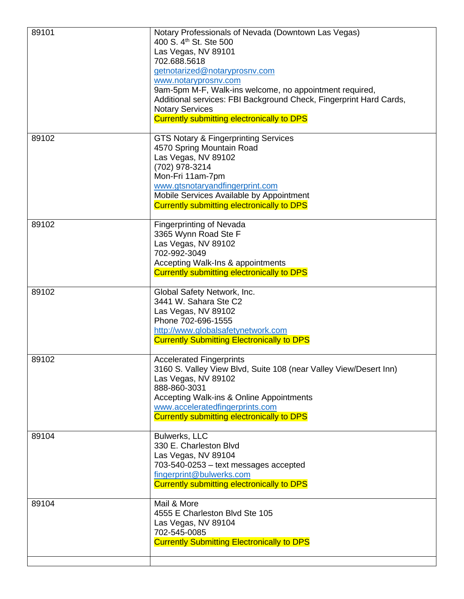| 89101 | Notary Professionals of Nevada (Downtown Las Vegas)<br>400 S. 4 <sup>th</sup> St. Ste 500<br>Las Vegas, NV 89101<br>702.688.5618<br>getnotarized@notaryprosnv.com<br>www.notaryprosnv.com<br>9am-5pm M-F, Walk-ins welcome, no appointment required,<br>Additional services: FBI Background Check, Fingerprint Hard Cards,<br><b>Notary Services</b><br><b>Currently submitting electronically to DPS</b> |
|-------|-----------------------------------------------------------------------------------------------------------------------------------------------------------------------------------------------------------------------------------------------------------------------------------------------------------------------------------------------------------------------------------------------------------|
| 89102 | <b>GTS Notary &amp; Fingerprinting Services</b><br>4570 Spring Mountain Road<br>Las Vegas, NV 89102<br>(702) 978-3214<br>Mon-Fri 11am-7pm<br>www.gtsnotaryandfingerprint.com<br>Mobile Services Available by Appointment<br><b>Currently submitting electronically to DPS</b>                                                                                                                             |
| 89102 | <b>Fingerprinting of Nevada</b><br>3365 Wynn Road Ste F<br>Las Vegas, NV 89102<br>702-992-3049<br>Accepting Walk-Ins & appointments<br><b>Currently submitting electronically to DPS</b>                                                                                                                                                                                                                  |
| 89102 | Global Safety Network, Inc.<br>3441 W. Sahara Ste C2<br>Las Vegas, NV 89102<br>Phone 702-696-1555<br>http://www.globalsafetynetwork.com<br><b>Currently Submitting Electronically to DPS</b>                                                                                                                                                                                                              |
| 89102 | <b>Accelerated Fingerprints</b><br>3160 S. Valley View Blvd, Suite 108 (near Valley View/Desert Inn)<br>Las Vegas, NV 89102<br>888-860-3031<br>Accepting Walk-ins & Online Appointments<br>www.acceleratedfingerprints.com<br><b>Currently submitting electronically to DPS</b>                                                                                                                           |
| 89104 | Bulwerks, LLC<br>330 E. Charleston Blvd<br>Las Vegas, NV 89104<br>703-540-0253 - text messages accepted<br>fingerprint@bulwerks.com<br>Currently submitting electronically to DPS                                                                                                                                                                                                                         |
| 89104 | Mail & More<br>4555 E Charleston Blvd Ste 105<br>Las Vegas, NV 89104<br>702-545-0085<br><b>Currently Submitting Electronically to DPS</b>                                                                                                                                                                                                                                                                 |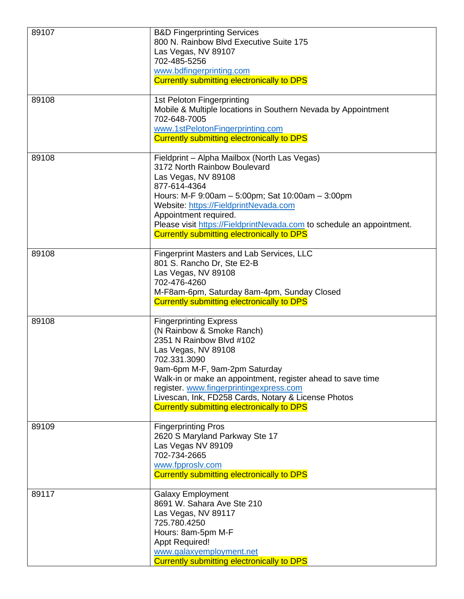| 89107 | <b>B&amp;D Fingerprinting Services</b><br>800 N. Rainbow Blvd Executive Suite 175<br>Las Vegas, NV 89107<br>702-485-5256<br>www.bdfingerprinting.com<br><b>Currently submitting electronically to DPS</b>                                                                                                                                                                            |
|-------|--------------------------------------------------------------------------------------------------------------------------------------------------------------------------------------------------------------------------------------------------------------------------------------------------------------------------------------------------------------------------------------|
| 89108 | 1st Peloton Fingerprinting<br>Mobile & Multiple locations in Southern Nevada by Appointment<br>702-648-7005<br>www.1stPelotonFingerprinting.com<br><b>Currently submitting electronically to DPS</b>                                                                                                                                                                                 |
| 89108 | Fieldprint - Alpha Mailbox (North Las Vegas)<br>3172 North Rainbow Boulevard<br>Las Vegas, NV 89108<br>877-614-4364<br>Hours: M-F 9:00am - 5:00pm; Sat 10:00am - 3:00pm<br>Website: https://FieldprintNevada.com<br>Appointment required.<br>Please visit https://FieldprintNevada.com to schedule an appointment.<br><b>Currently submitting electronically to DPS</b>              |
| 89108 | <b>Fingerprint Masters and Lab Services, LLC</b><br>801 S. Rancho Dr, Ste E2-B<br>Las Vegas, NV 89108<br>702-476-4260<br>M-F8am-6pm, Saturday 8am-4pm, Sunday Closed<br>Currently submitting electronically to DPS                                                                                                                                                                   |
| 89108 | <b>Fingerprinting Express</b><br>(N Rainbow & Smoke Ranch)<br>2351 N Rainbow Blvd #102<br>Las Vegas, NV 89108<br>702.331.3090<br>9am-6pm M-F, 9am-2pm Saturday<br>Walk-in or make an appointment, register ahead to save time<br>register. www.fingerprintingexpress.com<br>Livescan, Ink, FD258 Cards, Notary & License Photos<br><b>Currently submitting electronically to DPS</b> |
| 89109 | <b>Fingerprinting Pros</b><br>2620 S Maryland Parkway Ste 17<br>Las Vegas NV 89109<br>702-734-2665<br>www.fpproslv.com<br>Currently submitting electronically to DPS                                                                                                                                                                                                                 |
| 89117 | <b>Galaxy Employment</b><br>8691 W. Sahara Ave Ste 210<br>Las Vegas, NV 89117<br>725.780.4250<br>Hours: 8am-5pm M-F<br><b>Appt Required!</b><br>www.galaxyemployment.net<br>Currently submitting electronically to DPS                                                                                                                                                               |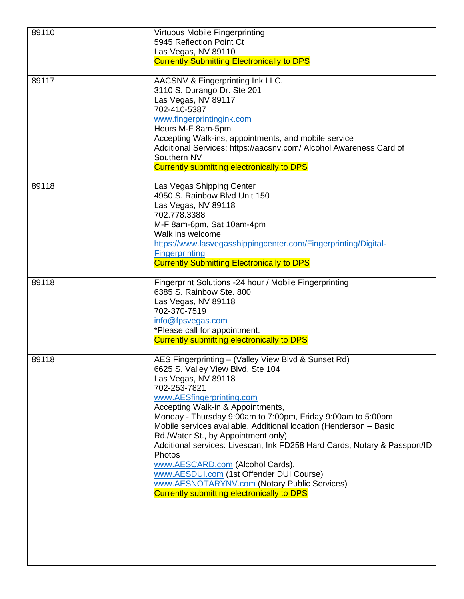| 89110 | Virtuous Mobile Fingerprinting                                                                                             |
|-------|----------------------------------------------------------------------------------------------------------------------------|
|       | 5945 Reflection Point Ct                                                                                                   |
|       | Las Vegas, NV 89110<br><b>Currently Submitting Electronically to DPS</b>                                                   |
|       |                                                                                                                            |
| 89117 | AACSNV & Fingerprinting Ink LLC.                                                                                           |
|       | 3110 S. Durango Dr. Ste 201<br>Las Vegas, NV 89117                                                                         |
|       | 702-410-5387                                                                                                               |
|       | www.fingerprintingink.com                                                                                                  |
|       | Hours M-F 8am-5pm                                                                                                          |
|       | Accepting Walk-ins, appointments, and mobile service<br>Additional Services: https://aacsnv.com/ Alcohol Awareness Card of |
|       | Southern NV                                                                                                                |
|       | Currently submitting electronically to DPS                                                                                 |
| 89118 | Las Vegas Shipping Center                                                                                                  |
|       | 4950 S. Rainbow Blvd Unit 150                                                                                              |
|       | Las Vegas, NV 89118                                                                                                        |
|       | 702.778.3388                                                                                                               |
|       | M-F 8am-6pm, Sat 10am-4pm<br>Walk ins welcome                                                                              |
|       | https://www.lasvegasshippingcenter.com/Fingerprinting/Digital-                                                             |
|       | <b>Fingerprinting</b>                                                                                                      |
|       | <b>Currently Submitting Electronically to DPS</b>                                                                          |
| 89118 | Fingerprint Solutions -24 hour / Mobile Fingerprinting                                                                     |
|       | 6385 S. Rainbow Ste. 800                                                                                                   |
|       | Las Vegas, NV 89118<br>702-370-7519                                                                                        |
|       | info@fpsvegas.com                                                                                                          |
|       | *Please call for appointment.                                                                                              |
|       | <b>Currently submitting electronically to DPS</b>                                                                          |
| 89118 | AES Fingerprinting - (Valley View Blvd & Sunset Rd)                                                                        |
|       | 6625 S. Valley View Blvd, Ste 104                                                                                          |
|       | Las Vegas, NV 89118<br>702-253-7821                                                                                        |
|       | www.AESfingerprinting.com                                                                                                  |
|       | Accepting Walk-in & Appointments,                                                                                          |
|       | Monday - Thursday 9:00am to 7:00pm, Friday 9:00am to 5:00pm                                                                |
|       | Mobile services available, Additional location (Henderson - Basic                                                          |
|       | Rd./Water St., by Appointment only)<br>Additional services: Livescan, Ink FD258 Hard Cards, Notary & Passport/ID           |
|       | Photos                                                                                                                     |
|       | www.AESCARD.com (Alcohol Cards),                                                                                           |
|       | www.AESDUI.com (1st Offender DUI Course)                                                                                   |
|       | www.AESNOTARYNV.com (Notary Public Services)<br><b>Currently submitting electronically to DPS</b>                          |
|       |                                                                                                                            |
|       |                                                                                                                            |
|       |                                                                                                                            |
|       |                                                                                                                            |
|       |                                                                                                                            |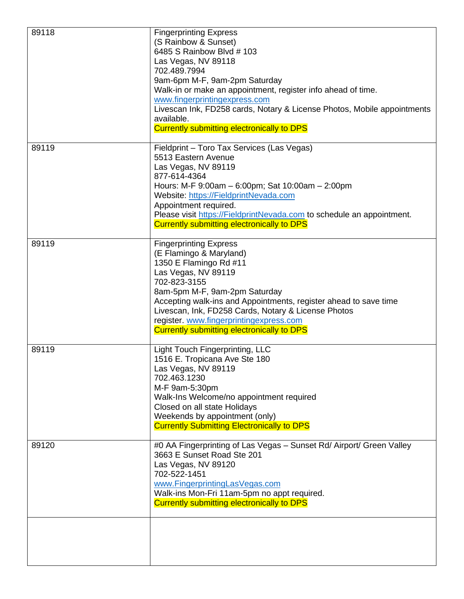| 89118 | <b>Fingerprinting Express</b><br>(S Rainbow & Sunset)<br>6485 S Rainbow Blvd # 103<br>Las Vegas, NV 89118<br>702.489.7994<br>9am-6pm M-F, 9am-2pm Saturday<br>Walk-in or make an appointment, register info ahead of time.<br>www.fingerprintingexpress.com<br>Livescan Ink, FD258 cards, Notary & License Photos, Mobile appointments<br>available.<br><b>Currently submitting electronically to DPS</b> |
|-------|-----------------------------------------------------------------------------------------------------------------------------------------------------------------------------------------------------------------------------------------------------------------------------------------------------------------------------------------------------------------------------------------------------------|
| 89119 | Fieldprint - Toro Tax Services (Las Vegas)<br>5513 Eastern Avenue<br>Las Vegas, NV 89119<br>877-614-4364<br>Hours: M-F 9:00am - 6:00pm; Sat 10:00am - 2:00pm<br>Website: https://FieldprintNevada.com<br>Appointment required.<br>Please visit https://FieldprintNevada.com to schedule an appointment.<br><b>Currently submitting electronically to DPS</b>                                              |
| 89119 | <b>Fingerprinting Express</b><br>(E Flamingo & Maryland)<br>1350 E Flamingo Rd #11<br>Las Vegas, NV 89119<br>702-823-3155<br>8am-5pm M-F, 9am-2pm Saturday<br>Accepting walk-ins and Appointments, register ahead to save time<br>Livescan, Ink, FD258 Cards, Notary & License Photos<br>register. www.fingerprintingexpress.com<br><b>Currently submitting electronically to DPS</b>                     |
| 89119 | Light Touch Fingerprinting, LLC<br>1516 E. Tropicana Ave Ste 180<br>Las Vegas, NV 89119<br>702.463.1230<br>M-F 9am-5:30pm<br>Walk-Ins Welcome/no appointment required<br>Closed on all state Holidays<br>Weekends by appointment (only)<br><b>Currently Submitting Electronically to DPS</b>                                                                                                              |
| 89120 | #0 AA Fingerprinting of Las Vegas - Sunset Rd/ Airport/ Green Valley<br>3663 E Sunset Road Ste 201<br>Las Vegas, NV 89120<br>702-522-1451<br>www.FingerprintingLasVegas.com<br>Walk-ins Mon-Fri 11am-5pm no appt required.<br>Currently submitting electronically to DPS                                                                                                                                  |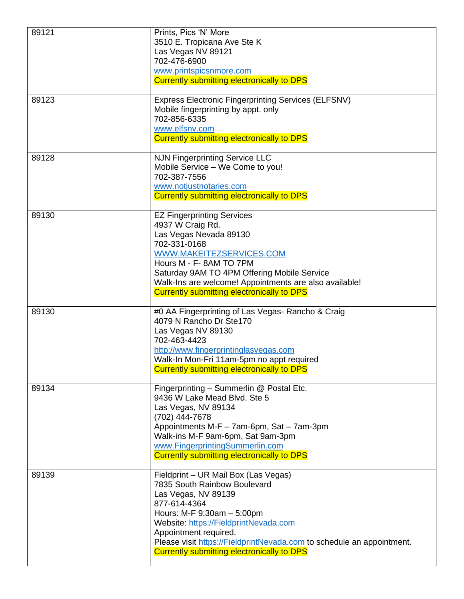| 89121 | Prints, Pics 'N' More<br>3510 E. Tropicana Ave Ste K<br>Las Vegas NV 89121<br>702-476-6900<br>www.printspicsnmore.com<br><b>Currently submitting electronically to DPS</b>                                                                                                                                                         |
|-------|------------------------------------------------------------------------------------------------------------------------------------------------------------------------------------------------------------------------------------------------------------------------------------------------------------------------------------|
| 89123 | <b>Express Electronic Fingerprinting Services (ELFSNV)</b><br>Mobile fingerprinting by appt. only<br>702-856-6335<br>www.elfsnv.com<br><b>Currently submitting electronically to DPS</b>                                                                                                                                           |
| 89128 | <b>NJN Fingerprinting Service LLC</b><br>Mobile Service - We Come to you!<br>702-387-7556<br>www.notjustnotaries.com<br><b>Currently submitting electronically to DPS</b>                                                                                                                                                          |
| 89130 | <b>EZ Fingerprinting Services</b><br>4937 W Craig Rd.<br>Las Vegas Nevada 89130<br>702-331-0168<br>WWW.MAKEITEZSERVICES.COM<br>Hours M - F-8AM TO 7PM<br>Saturday 9AM TO 4PM Offering Mobile Service<br>Walk-Ins are welcome! Appointments are also available!<br>Currently submitting electronically to DPS                       |
| 89130 | #0 AA Fingerprinting of Las Vegas- Rancho & Craig<br>4079 N Rancho Dr Ste170<br>Las Vegas NV 89130<br>702-463-4423<br>http://www.fingerprintinglasvegas.com<br>Walk-In Mon-Fri 11am-5pm no appt required<br><b>Currently submitting electronically to DPS</b>                                                                      |
| 89134 | Fingerprinting - Summerlin @ Postal Etc.<br>9436 W Lake Mead Blvd. Ste 5<br>Las Vegas, NV 89134<br>(702) 444-7678<br>Appointments M-F - 7am-6pm, Sat - 7am-3pm<br>Walk-ins M-F 9am-6pm, Sat 9am-3pm<br>www.FingerprintingSummerlin.com<br>Currently submitting electronically to DPS                                               |
| 89139 | Fieldprint - UR Mail Box (Las Vegas)<br>7835 South Rainbow Boulevard<br>Las Vegas, NV 89139<br>877-614-4364<br>Hours: M-F 9:30am - 5:00pm<br>Website: https://FieldprintNevada.com<br>Appointment required.<br>Please visit https://FieldprintNevada.com to schedule an appointment.<br>Currently submitting electronically to DPS |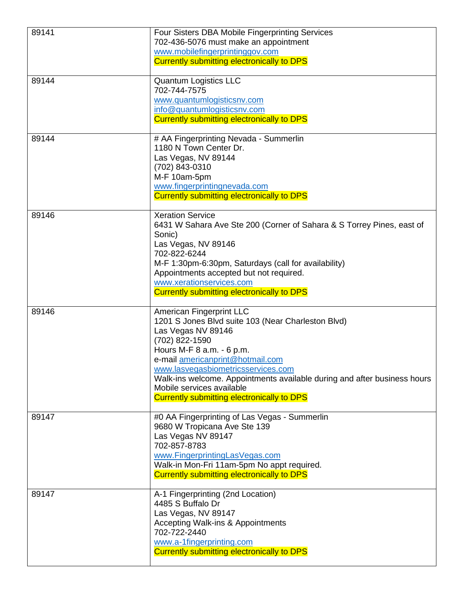| 89141 | Four Sisters DBA Mobile Fingerprinting Services<br>702-436-5076 must make an appointment<br>www.mobilefingerprintinggov.com<br><b>Currently submitting electronically to DPS</b>                                                                                                                                                                                                     |
|-------|--------------------------------------------------------------------------------------------------------------------------------------------------------------------------------------------------------------------------------------------------------------------------------------------------------------------------------------------------------------------------------------|
| 89144 | Quantum Logistics LLC<br>702-744-7575<br>www.quantumlogisticsnv.com<br>info@quantumlogisticsnv.com<br><b>Currently submitting electronically to DPS</b>                                                                                                                                                                                                                              |
| 89144 | # AA Fingerprinting Nevada - Summerlin<br>1180 N Town Center Dr.<br>Las Vegas, NV 89144<br>(702) 843-0310<br>M-F 10am-5pm<br>www.fingerprintingnevada.com<br><b>Currently submitting electronically to DPS</b>                                                                                                                                                                       |
| 89146 | <b>Xeration Service</b><br>6431 W Sahara Ave Ste 200 (Corner of Sahara & S Torrey Pines, east of<br>Sonic)<br>Las Vegas, NV 89146<br>702-822-6244<br>M-F 1:30pm-6:30pm, Saturdays (call for availability)<br>Appointments accepted but not required.<br>www.xerationservices.com<br><b>Currently submitting electronically to DPS</b>                                                |
| 89146 | American Fingerprint LLC<br>1201 S Jones Blvd suite 103 (Near Charleston Blvd)<br>Las Vegas NV 89146<br>(702) 822-1590<br>Hours M-F 8 a.m. - 6 p.m.<br>e-mail americanprint@hotmail.com<br>www.lasvegasbiometricsservices.com<br>Walk-ins welcome. Appointments available during and after business hours<br>Mobile services available<br>Currently submitting electronically to DPS |
| 89147 | #0 AA Fingerprinting of Las Vegas - Summerlin<br>9680 W Tropicana Ave Ste 139<br>Las Vegas NV 89147<br>702-857-8783<br>www.FingerprintingLasVegas.com<br>Walk-in Mon-Fri 11am-5pm No appt required.<br><b>Currently submitting electronically to DPS</b>                                                                                                                             |
| 89147 | A-1 Fingerprinting (2nd Location)<br>4485 S Buffalo Dr<br>Las Vegas, NV 89147<br><b>Accepting Walk-ins &amp; Appointments</b><br>702-722-2440<br>www.a-1fingerprinting.com<br><b>Currently submitting electronically to DPS</b>                                                                                                                                                      |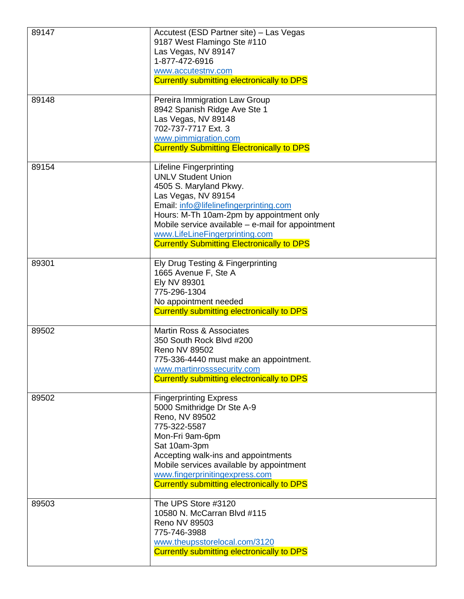| 89147 | Accutest (ESD Partner site) - Las Vegas<br>9187 West Flamingo Ste #110<br>Las Vegas, NV 89147<br>1-877-472-6916<br>www.accutestnv.com<br><b>Currently submitting electronically to DPS</b>                                                                                                                                                       |
|-------|--------------------------------------------------------------------------------------------------------------------------------------------------------------------------------------------------------------------------------------------------------------------------------------------------------------------------------------------------|
| 89148 | Pereira Immigration Law Group<br>8942 Spanish Ridge Ave Ste 1<br>Las Vegas, NV 89148<br>702-737-7717 Ext. 3<br>www.pimmigration.com<br><b>Currently Submitting Electronically to DPS</b>                                                                                                                                                         |
| 89154 | <b>Lifeline Fingerprinting</b><br><b>UNLV Student Union</b><br>4505 S. Maryland Pkwy.<br>Las Vegas, NV 89154<br>Email: info@lifelinefingerprinting.com<br>Hours: M-Th 10am-2pm by appointment only<br>Mobile service available $-$ e-mail for appointment<br>www.LifeLineFingerprinting.com<br><b>Currently Submitting Electronically to DPS</b> |
| 89301 | Ely Drug Testing & Fingerprinting<br>1665 Avenue F, Ste A<br>Ely NV 89301<br>775-296-1304<br>No appointment needed<br><b>Currently submitting electronically to DPS</b>                                                                                                                                                                          |
| 89502 | <b>Martin Ross &amp; Associates</b><br>350 South Rock Blvd #200<br>Reno NV 89502<br>775-336-4440 must make an appointment.<br>www.martinrosssecurity.com<br>Currently submitting electronically to DPS                                                                                                                                           |
| 89502 | <b>Fingerprinting Express</b><br>5000 Smithridge Dr Ste A-9<br>Reno, NV 89502<br>775-322-5587<br>Mon-Fri 9am-6pm<br>Sat 10am-3pm<br>Accepting walk-ins and appointments<br>Mobile services available by appointment<br>www.fingerprinitingexpress.com<br><b>Currently submitting electronically to DPS</b>                                       |
| 89503 | The UPS Store #3120<br>10580 N. McCarran Blvd #115<br>Reno NV 89503<br>775-746-3988<br>www.theupsstorelocal.com/3120<br>Currently submitting electronically to DPS                                                                                                                                                                               |